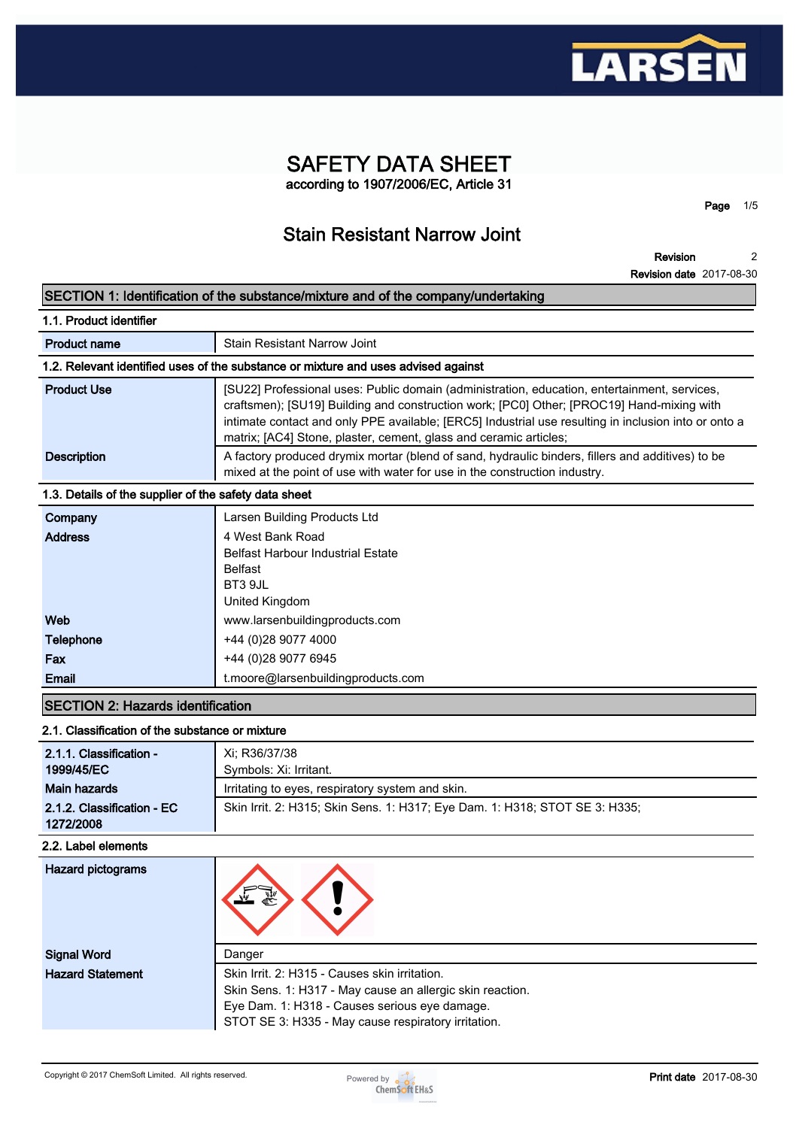

# **SAFETY DATA SHEET according to 1907/2006/EC, Article 31**

**Page 1/5**

# **Stain Resistant Narrow Joint**

**Revision Revision date 2017-08-30 2**

|                                                       | SECTION 1: Identification of the substance/mixture and of the company/undertaking                                                                                                                                                                                                                                                                                      |
|-------------------------------------------------------|------------------------------------------------------------------------------------------------------------------------------------------------------------------------------------------------------------------------------------------------------------------------------------------------------------------------------------------------------------------------|
| 1.1. Product identifier                               |                                                                                                                                                                                                                                                                                                                                                                        |
| <b>Product name</b>                                   | Stain Resistant Narrow Joint                                                                                                                                                                                                                                                                                                                                           |
|                                                       | 1.2. Relevant identified uses of the substance or mixture and uses advised against                                                                                                                                                                                                                                                                                     |
| <b>Product Use</b>                                    | [SU22] Professional uses: Public domain (administration, education, entertainment, services,<br>craftsmen); [SU19] Building and construction work; [PC0] Other; [PROC19] Hand-mixing with<br>intimate contact and only PPE available; [ERC5] Industrial use resulting in inclusion into or onto a<br>matrix; [AC4] Stone, plaster, cement, glass and ceramic articles; |
| <b>Description</b>                                    | A factory produced drymix mortar (blend of sand, hydraulic binders, fillers and additives) to be<br>mixed at the point of use with water for use in the construction industry.                                                                                                                                                                                         |
| 1.3. Details of the supplier of the safety data sheet |                                                                                                                                                                                                                                                                                                                                                                        |
| Company<br><b>Address</b>                             | Larsen Building Products Ltd<br>4 West Bank Road<br><b>Belfast Harbour Industrial Estate</b><br><b>Belfast</b><br>BT3 9JL<br>United Kingdom                                                                                                                                                                                                                            |
| Web                                                   | www.larsenbuildingproducts.com                                                                                                                                                                                                                                                                                                                                         |
| Telephone                                             | +44 (0)28 9077 4000                                                                                                                                                                                                                                                                                                                                                    |
| Fax                                                   | +44 (0)28 9077 6945                                                                                                                                                                                                                                                                                                                                                    |
| Email                                                 | t.moore@larsenbuildingproducts.com                                                                                                                                                                                                                                                                                                                                     |
| <b>SECTION 2: Hazards identification</b>              |                                                                                                                                                                                                                                                                                                                                                                        |
| 2.1. Classification of the substance or mixture       |                                                                                                                                                                                                                                                                                                                                                                        |
| 2.1.1. Classification -<br>1999/45/EC                 | Xi; R36/37/38<br>Symbols: Xi: Irritant.                                                                                                                                                                                                                                                                                                                                |
| <b>Main hazards</b>                                   | Irritating to eyes, respiratory system and skin.                                                                                                                                                                                                                                                                                                                       |
| 2.1.2. Classification - EC<br>1272/2008               | Skin Irrit. 2: H315; Skin Sens. 1: H317; Eye Dam. 1: H318; STOT SE 3: H335;                                                                                                                                                                                                                                                                                            |
| 2.2. Label elements                                   |                                                                                                                                                                                                                                                                                                                                                                        |
| <b>Hazard pictograms</b>                              |                                                                                                                                                                                                                                                                                                                                                                        |
| <b>Signal Word</b>                                    | Danger                                                                                                                                                                                                                                                                                                                                                                 |
| <b>Hazard Statement</b>                               | Skin Irrit. 2: H315 - Causes skin irritation.                                                                                                                                                                                                                                                                                                                          |

**Skin Sens. 1: H317 - May cause an allergic skin reaction.**

**Eye Dam. 1: H318 - Causes serious eye damage.**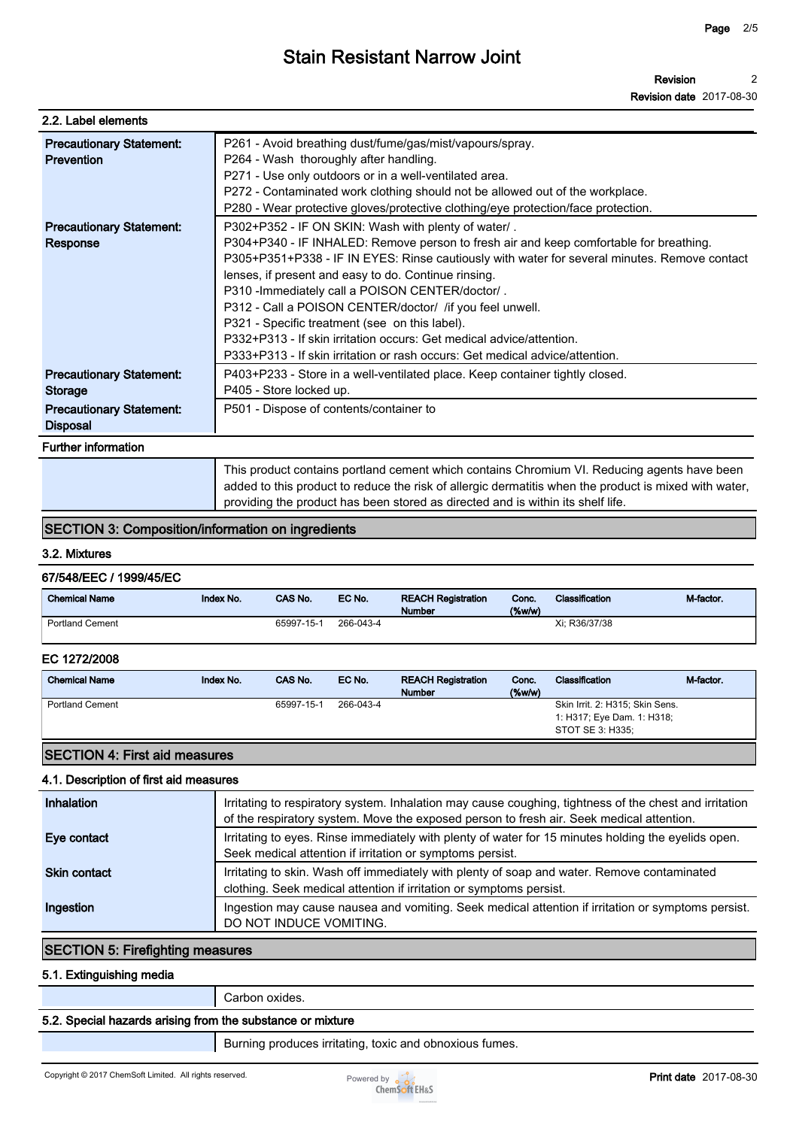| 2.2. Label elements                                                                              |                                                                                                                                                                                                                                                                                                                                                                                                                                                                                                                                                                                                                                  |
|--------------------------------------------------------------------------------------------------|----------------------------------------------------------------------------------------------------------------------------------------------------------------------------------------------------------------------------------------------------------------------------------------------------------------------------------------------------------------------------------------------------------------------------------------------------------------------------------------------------------------------------------------------------------------------------------------------------------------------------------|
| <b>Precautionary Statement:</b><br><b>Prevention</b>                                             | P261 - Avoid breathing dust/fume/gas/mist/vapours/spray.<br>P264 - Wash thoroughly after handling.<br>P271 - Use only outdoors or in a well-ventilated area.<br>P272 - Contaminated work clothing should not be allowed out of the workplace.<br>P280 - Wear protective gloves/protective clothing/eye protection/face protection.                                                                                                                                                                                                                                                                                               |
| <b>Precautionary Statement:</b><br>Response                                                      | P302+P352 - IF ON SKIN: Wash with plenty of water/.<br>P304+P340 - IF INHALED: Remove person to fresh air and keep comfortable for breathing.<br>P305+P351+P338 - IF IN EYES: Rinse cautiously with water for several minutes. Remove contact<br>lenses, if present and easy to do. Continue rinsing.<br>P310 - Immediately call a POISON CENTER/doctor/.<br>P312 - Call a POISON CENTER/doctor/ / if you feel unwell.<br>P321 - Specific treatment (see on this label).<br>P332+P313 - If skin irritation occurs: Get medical advice/attention.<br>P333+P313 - If skin irritation or rash occurs: Get medical advice/attention. |
| <b>Precautionary Statement:</b><br>Storage<br><b>Precautionary Statement:</b><br><b>Disposal</b> | P403+P233 - Store in a well-ventilated place. Keep container tightly closed.<br>P405 - Store locked up.<br>P501 - Dispose of contents/container to                                                                                                                                                                                                                                                                                                                                                                                                                                                                               |
| <b>Further information</b>                                                                       |                                                                                                                                                                                                                                                                                                                                                                                                                                                                                                                                                                                                                                  |
|                                                                                                  | This product contains portland cement which contains Chromium VI. Reducing agents have been                                                                                                                                                                                                                                                                                                                                                                                                                                                                                                                                      |

**added to this product to reduce the risk of allergic dermatitis when the product is mixed with water, providing the product has been stored as directed and is within its shelf life.**

## **SECTION 3: Composition/information on ingredients**

#### **3.2. Mixtures**

#### **67/548/EEC / 1999/45/EC**

| <b>Chemical Name</b>   | <b>Index No.</b> | <b>CAS No.</b> | EC No.    | <b>REACH Registration</b><br><b>Number</b> | Conc.<br>$($ %w/w $)$ | <b>Classification</b> | M-factor |
|------------------------|------------------|----------------|-----------|--------------------------------------------|-----------------------|-----------------------|----------|
| <b>Portland Cement</b> |                  | 65997-15-1     | 266-043-4 |                                            |                       | Xi: R36/37/38         |          |

#### **EC 1272/2008**

| <b>Chemical Name</b>   | Index No. | CAS No.    | EC No.    | <b>REACH Registration</b><br><b>Number</b> | Conc.<br>$(\%w/w)$ | Classification                                                                    | M-factor. |
|------------------------|-----------|------------|-----------|--------------------------------------------|--------------------|-----------------------------------------------------------------------------------|-----------|
| <b>Portland Cement</b> |           | 65997-15-1 | 266-043-4 |                                            |                    | Skin Irrit. 2: H315; Skin Sens.<br>1: H317; Eye Dam. 1: H318;<br>STOT SE 3: H335; |           |
|                        |           |            |           |                                            |                    |                                                                                   |           |

## **SECTION 4: First aid measures**

#### **4.1. Description of first aid measures**

| Inhalation          | Irritating to respiratory system. Inhalation may cause coughing, tightness of the chest and irritation<br>of the respiratory system. Move the exposed person to fresh air. Seek medical attention. |
|---------------------|----------------------------------------------------------------------------------------------------------------------------------------------------------------------------------------------------|
| Eye contact         | Irritating to eyes. Rinse immediately with plenty of water for 15 minutes holding the eyelids open.<br>Seek medical attention if irritation or symptoms persist.                                   |
| <b>Skin contact</b> | Irritating to skin. Wash off immediately with plenty of soap and water. Remove contaminated<br>clothing. Seek medical attention if irritation or symptoms persist.                                 |
| Ingestion           | Ingestion may cause nausea and vomiting. Seek medical attention if irritation or symptoms persist.<br>DO NOT INDUCE VOMITING.                                                                      |

## **SECTION 5: Firefighting measures**

#### **5.1. Extinguishing media**

**Carbon oxides.**

### **5.2. Special hazards arising from the substance or mixture**

**Burning produces irritating, toxic and obnoxious fumes.**

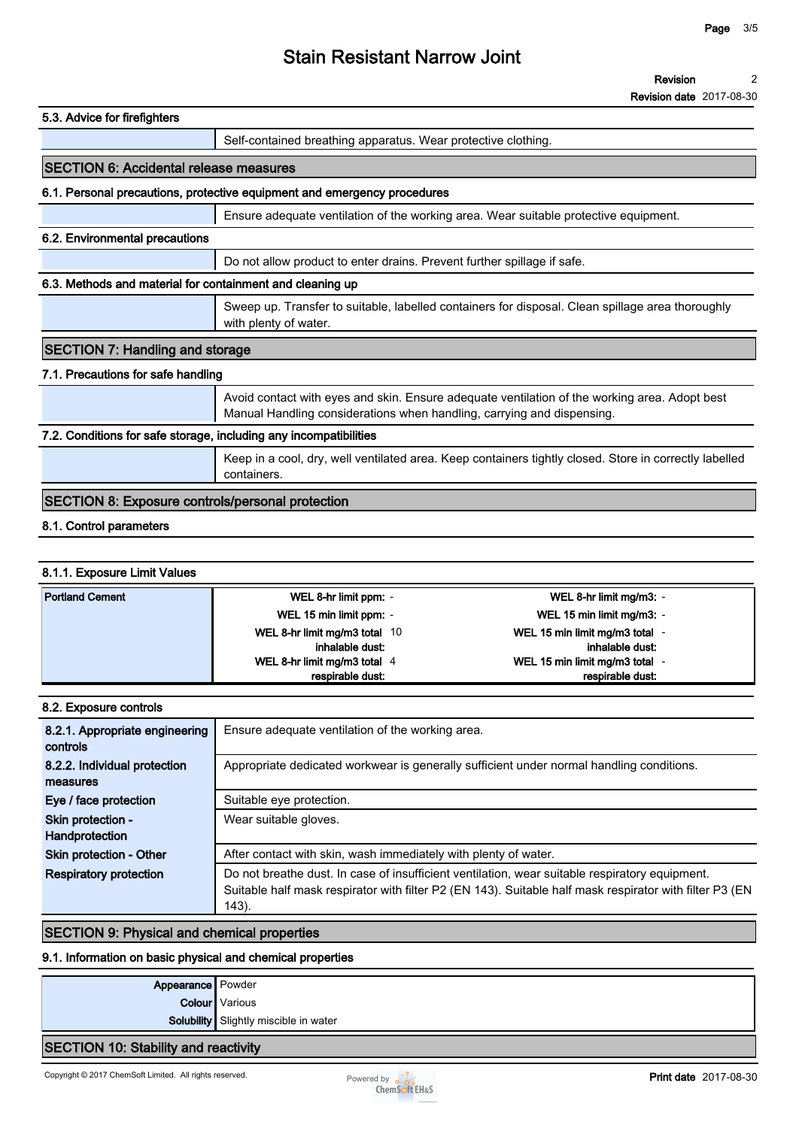| 5.3. Advice for firefighters                                      |                                                                                                                                                                         |
|-------------------------------------------------------------------|-------------------------------------------------------------------------------------------------------------------------------------------------------------------------|
|                                                                   | Self-contained breathing apparatus. Wear protective clothing.                                                                                                           |
| <b>SECTION 6: Accidental release measures</b>                     |                                                                                                                                                                         |
|                                                                   | 6.1. Personal precautions, protective equipment and emergency procedures                                                                                                |
|                                                                   | Ensure adequate ventilation of the working area. Wear suitable protective equipment.                                                                                    |
| 6.2. Environmental precautions                                    |                                                                                                                                                                         |
|                                                                   | Do not allow product to enter drains. Prevent further spillage if safe.                                                                                                 |
| 6.3. Methods and material for containment and cleaning up         |                                                                                                                                                                         |
|                                                                   | Sweep up. Transfer to suitable, labelled containers for disposal. Clean spillage area thoroughly<br>with plenty of water.                                               |
| <b>SECTION 7: Handling and storage</b>                            |                                                                                                                                                                         |
| 7.1. Precautions for safe handling                                |                                                                                                                                                                         |
|                                                                   | Avoid contact with eyes and skin. Ensure adequate ventilation of the working area. Adopt best<br>Manual Handling considerations when handling, carrying and dispensing. |
| 7.2. Conditions for safe storage, including any incompatibilities |                                                                                                                                                                         |
|                                                                   | Keep in a cool, dry, well ventilated area. Keep containers tightly closed. Store in correctly labelled<br>containers.                                                   |
| <b>SECTION 8: Exposure controls/personal protection</b>           |                                                                                                                                                                         |
|                                                                   |                                                                                                                                                                         |

# **8.1. Control parameters**

### **8.1.1. Exposure Limit Values**

| <b>Portland Cement</b> | WEL 8-hr limit ppm: -                            | WEL 8-hr limit mg/m3: -                           |
|------------------------|--------------------------------------------------|---------------------------------------------------|
|                        | WEL 15 min limit ppm: -                          | WEL 15 min limit mg/m3: -                         |
|                        | WEL 8-hr limit mg/m3 total 10<br>inhalable dust: | WEL 15 min limit mg/m3 total -<br>inhalable dust: |
|                        | WEL 8-hr limit mg/m3 total 4                     | WEL 15 min limit mg/m3 total -                    |
|                        | respirable dust:                                 | respirable dust:                                  |

| 8.2. Exposure controls                     |                                                                                                                                                                                                                    |
|--------------------------------------------|--------------------------------------------------------------------------------------------------------------------------------------------------------------------------------------------------------------------|
| 8.2.1. Appropriate engineering<br>controls | Ensure adequate ventilation of the working area.                                                                                                                                                                   |
| 8.2.2. Individual protection<br>measures   | Appropriate dedicated workwear is generally sufficient under normal handling conditions.                                                                                                                           |
| Eye / face protection                      | Suitable eye protection.                                                                                                                                                                                           |
| Skin protection -<br>Handprotection        | Wear suitable gloves.                                                                                                                                                                                              |
| Skin protection - Other                    | After contact with skin, wash immediately with plenty of water.                                                                                                                                                    |
| <b>Respiratory protection</b>              | Do not breathe dust. In case of insufficient ventilation, wear suitable respiratory equipment.<br>Suitable half mask respirator with filter P2 (EN 143). Suitable half mask respirator with filter P3 (EN<br>143). |

## **SECTION 9: Physical and chemical properties**

#### **9.1. Information on basic physical and chemical properties**

| Appearance Powder                    |                                       |
|--------------------------------------|---------------------------------------|
|                                      | <b>Colour</b> Various                 |
|                                      | Solubility Slightly miscible in water |
| SECTION 10: Stability and reactivity |                                       |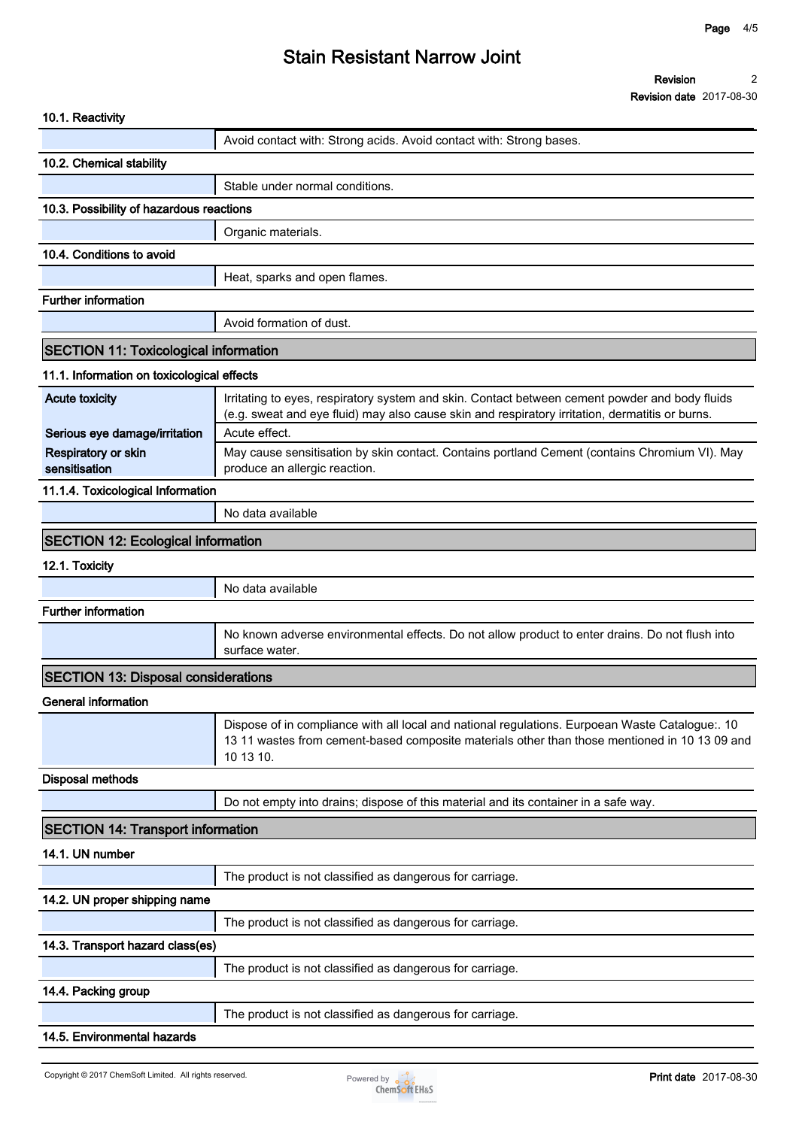| 10.1. Reactivity                             |                                                                                                                                                                                                               |
|----------------------------------------------|---------------------------------------------------------------------------------------------------------------------------------------------------------------------------------------------------------------|
|                                              | Avoid contact with: Strong acids. Avoid contact with: Strong bases.                                                                                                                                           |
| 10.2. Chemical stability                     |                                                                                                                                                                                                               |
|                                              | Stable under normal conditions.                                                                                                                                                                               |
| 10.3. Possibility of hazardous reactions     |                                                                                                                                                                                                               |
|                                              | Organic materials.                                                                                                                                                                                            |
| 10.4. Conditions to avoid                    |                                                                                                                                                                                                               |
|                                              | Heat, sparks and open flames.                                                                                                                                                                                 |
| <b>Further information</b>                   |                                                                                                                                                                                                               |
|                                              | Avoid formation of dust.                                                                                                                                                                                      |
| <b>SECTION 11: Toxicological information</b> |                                                                                                                                                                                                               |
| 11.1. Information on toxicological effects   |                                                                                                                                                                                                               |
| <b>Acute toxicity</b>                        | Irritating to eyes, respiratory system and skin. Contact between cement powder and body fluids<br>(e.g. sweat and eye fluid) may also cause skin and respiratory irritation, dermatitis or burns.             |
| Serious eye damage/irritation                | Acute effect.                                                                                                                                                                                                 |
| Respiratory or skin<br>sensitisation         | May cause sensitisation by skin contact. Contains portland Cement (contains Chromium VI). May<br>produce an allergic reaction.                                                                                |
| 11.1.4. Toxicological Information            |                                                                                                                                                                                                               |
|                                              | No data available                                                                                                                                                                                             |
| <b>SECTION 12: Ecological information</b>    |                                                                                                                                                                                                               |
| 12.1. Toxicity                               |                                                                                                                                                                                                               |
|                                              | No data available                                                                                                                                                                                             |
| <b>Further information</b>                   |                                                                                                                                                                                                               |
|                                              | No known adverse environmental effects. Do not allow product to enter drains. Do not flush into<br>surface water.                                                                                             |
| <b>SECTION 13: Disposal considerations</b>   |                                                                                                                                                                                                               |
| General information                          |                                                                                                                                                                                                               |
|                                              | Dispose of in compliance with all local and national regulations. Eurpoean Waste Catalogue:. 10<br>13 11 wastes from cement-based composite materials other than those mentioned in 10 13 09 and<br>10 13 10. |
| <b>Disposal methods</b>                      |                                                                                                                                                                                                               |
|                                              | Do not empty into drains; dispose of this material and its container in a safe way.                                                                                                                           |
| <b>SECTION 14: Transport information</b>     |                                                                                                                                                                                                               |
| 14.1. UN number                              |                                                                                                                                                                                                               |
|                                              | The product is not classified as dangerous for carriage.                                                                                                                                                      |
| 14.2. UN proper shipping name                |                                                                                                                                                                                                               |
|                                              | The product is not classified as dangerous for carriage.                                                                                                                                                      |
| 14.3. Transport hazard class(es)             |                                                                                                                                                                                                               |
|                                              | The product is not classified as dangerous for carriage.                                                                                                                                                      |
| 14.4. Packing group                          |                                                                                                                                                                                                               |
|                                              | The product is not classified as dangerous for carriage.                                                                                                                                                      |
| 14.5. Environmental hazards                  |                                                                                                                                                                                                               |